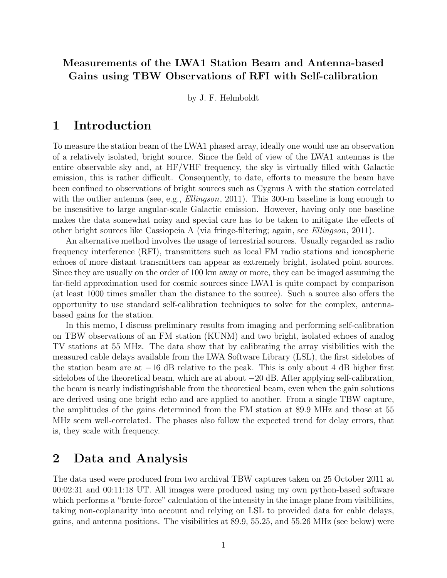### Measurements of the LWA1 Station Beam and Antenna-based Gains using TBW Observations of RFI with Self-calibration

by J. F. Helmboldt

## 1 Introduction

To measure the station beam of the LWA1 phased array, ideally one would use an observation of a relatively isolated, bright source. Since the field of view of the LWA1 antennas is the entire observable sky and, at  $HF/VHF$  frequency, the sky is virtually filled with Galactic emission, this is rather difficult. Consequently, to date, efforts to measure the beam have been confined to observations of bright sources such as Cygnus A with the station correlated with the outlier antenna (see, e.g., *Ellingson*, 2011). This 300-m baseline is long enough to be insensitive to large angular-scale Galactic emission. However, having only one baseline makes the data somewhat noisy and special care has to be taken to mitigate the effects of other bright sources like Cassiopeia A (via fringe-filtering; again, see Ellingson, 2011).

An alternative method involves the usage of terrestrial sources. Usually regarded as radio frequency interference (RFI), transmitters such as local FM radio stations and ionospheric echoes of more distant transmitters can appear as extremely bright, isolated point sources. Since they are usually on the order of 100 km away or more, they can be imaged assuming the far-field approximation used for cosmic sources since LWA1 is quite compact by comparison (at least 1000 times smaller than the distance to the source). Such a source also offers the opportunity to use standard self-calibration techniques to solve for the complex, antennabased gains for the station.

In this memo, I discuss preliminary results from imaging and performing self-calibration on TBW observations of an FM station (KUNM) and two bright, isolated echoes of analog TV stations at 55 MHz. The data show that by calibrating the array visibilities with the measured cable delays available from the LWA Software Library (LSL), the first sidelobes of the station beam are at −16 dB relative to the peak. This is only about 4 dB higher first sidelobes of the theoretical beam, which are at about  $-20$  dB. After applying self-calibration, the beam is nearly indistinguishable from the theoretical beam, even when the gain solutions are derived using one bright echo and are applied to another. From a single TBW capture, the amplitudes of the gains determined from the FM station at 89.9 MHz and those at 55 MHz seem well-correlated. The phases also follow the expected trend for delay errors, that is, they scale with frequency.

## 2 Data and Analysis

The data used were produced from two archival TBW captures taken on 25 October 2011 at 00:02:31 and 00:11:18 UT. All images were produced using my own python-based software which performs a "brute-force" calculation of the intensity in the image plane from visibilities, taking non-coplanarity into account and relying on LSL to provided data for cable delays, gains, and antenna positions. The visibilities at 89.9, 55.25, and 55.26 MHz (see below) were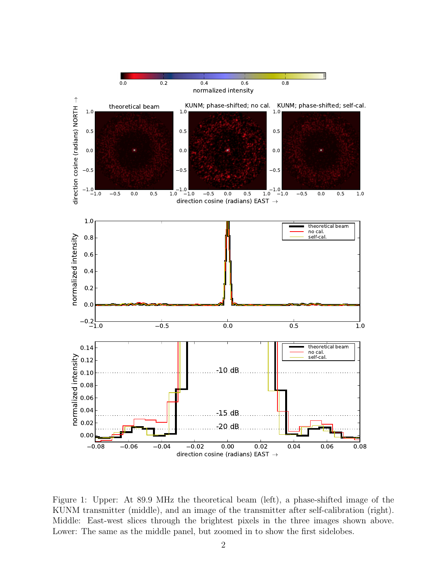

Figure 1: Upper: At 89.9 MHz the theoretical beam (left), a phase-shifted image of the KUNM transmitter (middle), and an image of the transmitter after self-calibration (right). Middle: East-west slices through the brightest pixels in the three images shown above. Lower: The same as the middle panel, but zoomed in to show the first sidelobes.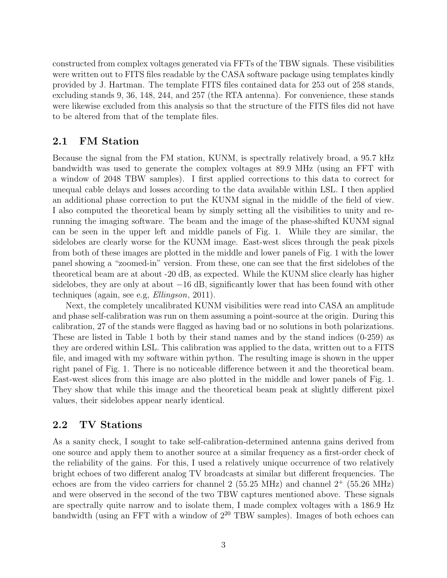constructed from complex voltages generated via FFTs of the TBW signals. These visibilities were written out to FITS files readable by the CASA software package using templates kindly provided by J. Hartman. The template FITS files contained data for 253 out of 258 stands, excluding stands 9, 36, 148, 244, and 257 (the RTA antenna). For convenience, these stands were likewise excluded from this analysis so that the structure of the FITS files did not have to be altered from that of the template files.

#### 2.1 FM Station

Because the signal from the FM station, KUNM, is spectrally relatively broad, a 95.7 kHz bandwidth was used to generate the complex voltages at 89.9 MHz (using an FFT with a window of 2048 TBW samples). I first applied corrections to this data to correct for unequal cable delays and losses according to the data available within LSL. I then applied an additional phase correction to put the KUNM signal in the middle of the field of view. I also computed the theoretical beam by simply setting all the visibilities to unity and rerunning the imaging software. The beam and the image of the phase-shifted KUNM signal can be seen in the upper left and middle panels of Fig. 1. While they are similar, the sidelobes are clearly worse for the KUNM image. East-west slices through the peak pixels from both of these images are plotted in the middle and lower panels of Fig. 1 with the lower panel showing a "zoomed-in" version. From these, one can see that the first sidelobes of the theoretical beam are at about -20 dB, as expected. While the KUNM slice clearly has higher sidelobes, they are only at about −16 dB, significantly lower that has been found with other techniques (again, see e.g, Ellingson, 2011).

Next, the completely uncalibrated KUNM visibilities were read into CASA an amplitude and phase self-calibration was run on them assuming a point-source at the origin. During this calibration, 27 of the stands were flagged as having bad or no solutions in both polarizations. These are listed in Table 1 both by their stand names and by the stand indices (0-259) as they are ordered within LSL. This calibration was applied to the data, written out to a FITS file, and imaged with my software within python. The resulting image is shown in the upper right panel of Fig. 1. There is no noticeable difference between it and the theoretical beam. East-west slices from this image are also plotted in the middle and lower panels of Fig. 1. They show that while this image and the theoretical beam peak at slightly different pixel values, their sidelobes appear nearly identical.

#### 2.2 TV Stations

As a sanity check, I sought to take self-calibration-determined antenna gains derived from one source and apply them to another source at a similar frequency as a first-order check of the reliability of the gains. For this, I used a relatively unique occurrence of two relatively bright echoes of two different analog TV broadcasts at similar but different frequencies. The echoes are from the video carriers for channel 2 (55.25 MHz) and channel  $2^{+}$  (55.26 MHz) and were observed in the second of the two TBW captures mentioned above. These signals are spectrally quite narrow and to isolate them, I made complex voltages with a 186.9 Hz bandwidth (using an FFT with a window of  $2^{20}$  TBW samples). Images of both echoes can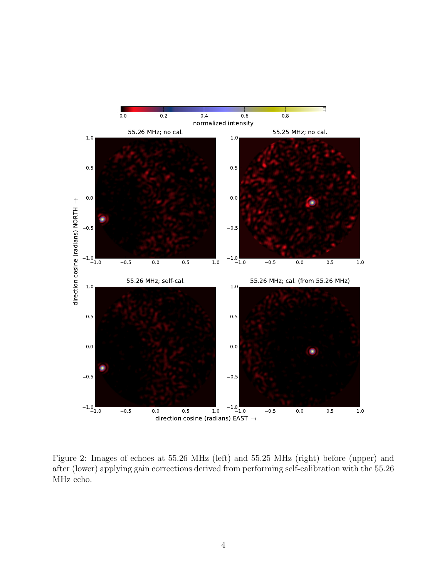

Figure 2: Images of echoes at 55.26 MHz (left) and 55.25 MHz (right) before (upper) and after (lower) applying gain corrections derived from performing self-calibration with the 55.26 MHz echo.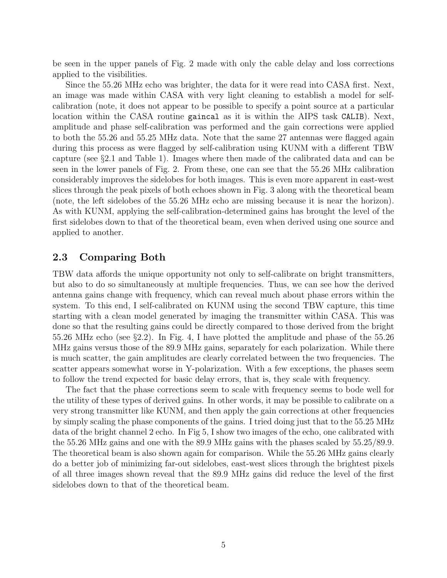be seen in the upper panels of Fig. 2 made with only the cable delay and loss corrections applied to the visibilities.

Since the 55.26 MHz echo was brighter, the data for it were read into CASA first. Next, an image was made within CASA with very light cleaning to establish a model for selfcalibration (note, it does not appear to be possible to specify a point source at a particular location within the CASA routine gaincal as it is within the AIPS task CALIB). Next, amplitude and phase self-calibration was performed and the gain corrections were applied to both the 55.26 and 55.25 MHz data. Note that the same 27 antennas were flagged again during this process as were flagged by self-calibration using KUNM with a different TBW capture (see §2.1 and Table 1). Images where then made of the calibrated data and can be seen in the lower panels of Fig. 2. From these, one can see that the 55.26 MHz calibration considerably improves the sidelobes for both images. This is even more apparent in east-west slices through the peak pixels of both echoes shown in Fig. 3 along with the theoretical beam (note, the left sidelobes of the 55.26 MHz echo are missing because it is near the horizon). As with KUNM, applying the self-calibration-determined gains has brought the level of the first sidelobes down to that of the theoretical beam, even when derived using one source and applied to another.

#### 2.3 Comparing Both

TBW data affords the unique opportunity not only to self-calibrate on bright transmitters, but also to do so simultaneously at multiple frequencies. Thus, we can see how the derived antenna gains change with frequency, which can reveal much about phase errors within the system. To this end, I self-calibrated on KUNM using the second TBW capture, this time starting with a clean model generated by imaging the transmitter within CASA. This was done so that the resulting gains could be directly compared to those derived from the bright 55.26 MHz echo (see §2.2). In Fig. 4, I have plotted the amplitude and phase of the 55.26 MHz gains versus those of the 89.9 MHz gains, separately for each polarization. While there is much scatter, the gain amplitudes are clearly correlated between the two frequencies. The scatter appears somewhat worse in Y-polarization. With a few exceptions, the phases seem to follow the trend expected for basic delay errors, that is, they scale with frequency.

The fact that the phase corrections seem to scale with frequency seems to bode well for the utility of these types of derived gains. In other words, it may be possible to calibrate on a very strong transmitter like KUNM, and then apply the gain corrections at other frequencies by simply scaling the phase components of the gains. I tried doing just that to the 55.25 MHz data of the bright channel 2 echo. In Fig 5, I show two images of the echo, one calibrated with the 55.26 MHz gains and one with the 89.9 MHz gains with the phases scaled by 55.25/89.9. The theoretical beam is also shown again for comparison. While the 55.26 MHz gains clearly do a better job of minimizing far-out sidelobes, east-west slices through the brightest pixels of all three images shown reveal that the 89.9 MHz gains did reduce the level of the first sidelobes down to that of the theoretical beam.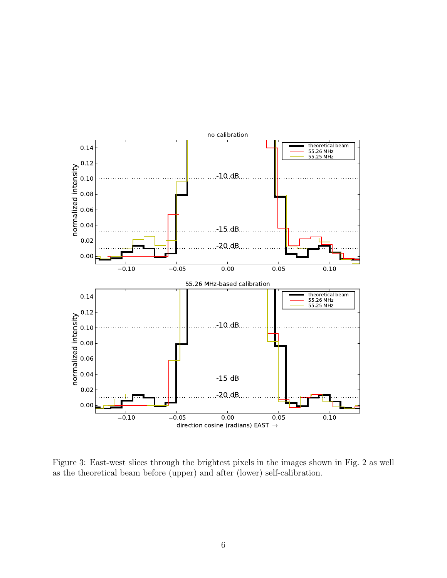

Figure 3: East-west slices through the brightest pixels in the images shown in Fig. 2 as well as the theoretical beam before (upper) and after (lower) self-calibration.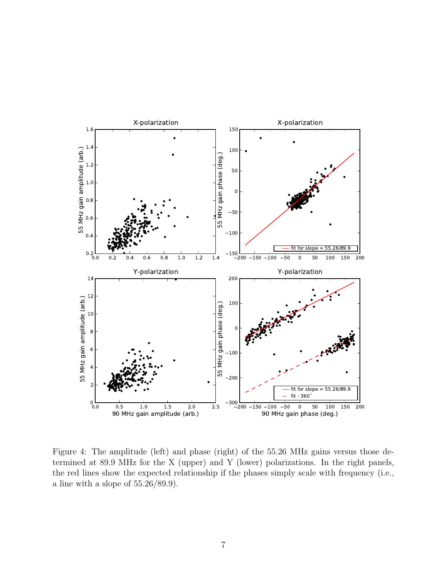

Figure 4: The amplitude (left) and phase (right) of the 55.26 MHz gains versus those determined at 89.9 MHz for the X (upper) and Y (lower) polarizations. In the right panels, the red lines show the expected relationship if the phases simply scale with frequency (i.e., a line with a slope of 55.26/89.9).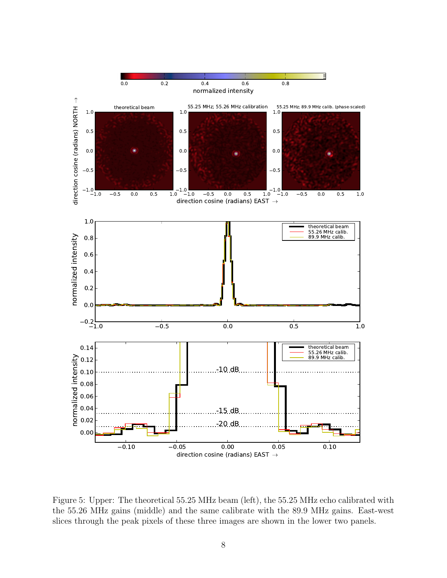

Figure 5: Upper: The theoretical 55.25 MHz beam (left), the 55.25 MHz echo calibrated with the 55.26 MHz gains (middle) and the same calibrate with the 89.9 MHz gains. East-west slices through the peak pixels of these three images are shown in the lower two panels.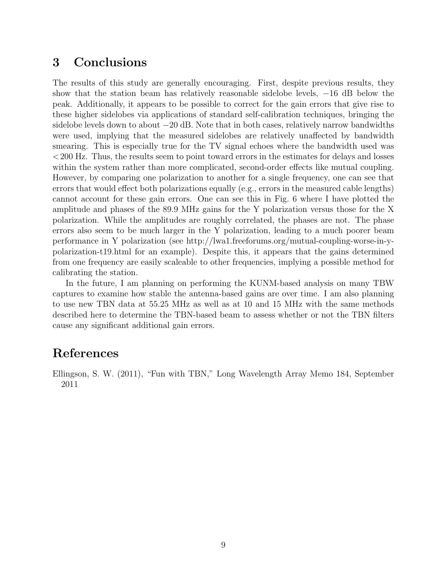# 3 Conclusions

The results of this study are generally encouraging. First, despite previous results, they show that the station beam has relatively reasonable sidelobe levels,  $-16$  dB below the peak. Additionally, it appears to be possible to correct for the gain errors that give rise to these higher sidelobes via applications of standard self-calibration techniques, bringing the sidelobe levels down to about −20 dB. Note that in both cases, relatively narrow bandwidths were used, implying that the measured sidelobes are relatively unaffected by bandwidth smearing. This is especially true for the TV signal echoes where the bandwidth used was <200 Hz. Thus, the results seem to point toward errors in the estimates for delays and losses within the system rather than more complicated, second-order effects like mutual coupling. However, by comparing one polarization to another for a single frequency, one can see that errors that would effect both polarizations equally (e.g., errors in the measured cable lengths) cannot account for these gain errors. One can see this in Fig. 6 where I have plotted the amplitude and phases of the 89.9 MHz gains for the Y polarization versus those for the X polarization. While the amplitudes are roughly correlated, the phases are not. The phase errors also seem to be much larger in the Y polarization, leading to a much poorer beam performance in Y polarization (see http://lwa1.freeforums.org/mutual-coupling-worse-in-ypolarization-t19.html for an example). Despite this, it appears that the gains determined from one frequency are easily scaleable to other frequencies, implying a possible method for calibrating the station.

In the future, I am planning on performing the KUNM-based analysis on many TBW captures to examine how stable the antenna-based gains are over time. I am also planning to use new TBN data at 55.25 MHz as well as at 10 and 15 MHz with the same methods described here to determine the TBN-based beam to assess whether or not the TBN filters cause any significant additional gain errors.

# References

Ellingson, S. W. (2011), "Fun with TBN," Long Wavelength Array Memo 184, September 2011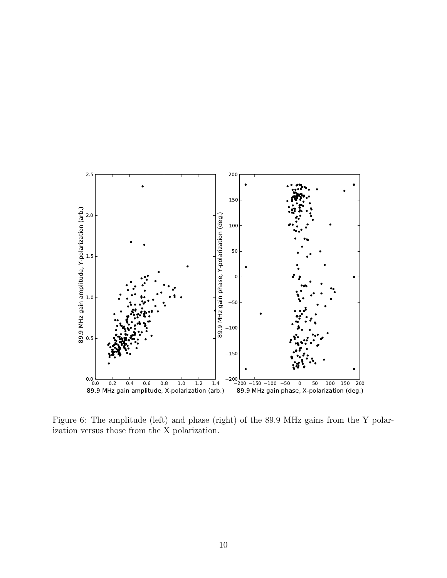

Figure 6: The amplitude (left) and phase (right) of the 89.9 MHz gains from the Y polarization versus those from the X polarization.